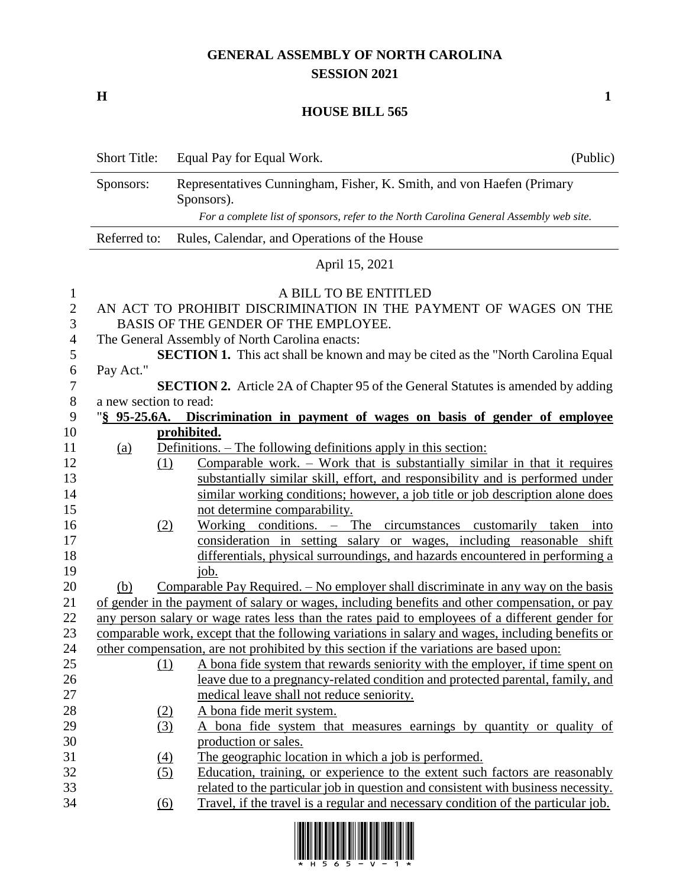## **GENERAL ASSEMBLY OF NORTH CAROLINA SESSION 2021**

**H 1**

## **HOUSE BILL 565**

|                                        | <b>Short Title:</b>                                                                                                                                                                 | Equal Pay for Equal Work.                                                                              | (Public) |  |  |  |
|----------------------------------------|-------------------------------------------------------------------------------------------------------------------------------------------------------------------------------------|--------------------------------------------------------------------------------------------------------|----------|--|--|--|
|                                        | Sponsors:                                                                                                                                                                           | Representatives Cunningham, Fisher, K. Smith, and von Haefen (Primary<br>Sponsors).                    |          |  |  |  |
|                                        |                                                                                                                                                                                     | For a complete list of sponsors, refer to the North Carolina General Assembly web site.                |          |  |  |  |
|                                        | Referred to:<br>Rules, Calendar, and Operations of the House                                                                                                                        |                                                                                                        |          |  |  |  |
|                                        | April 15, 2021                                                                                                                                                                      |                                                                                                        |          |  |  |  |
| $\mathbf{1}$<br>$\mathbf{2}$<br>3<br>4 | A BILL TO BE ENTITLED<br>AN ACT TO PROHIBIT DISCRIMINATION IN THE PAYMENT OF WAGES ON THE<br>BASIS OF THE GENDER OF THE EMPLOYEE.<br>The General Assembly of North Carolina enacts: |                                                                                                        |          |  |  |  |
| 5                                      |                                                                                                                                                                                     | <b>SECTION 1.</b> This act shall be known and may be cited as the "North Carolina Equal                |          |  |  |  |
| 6<br>7                                 | Pay Act."                                                                                                                                                                           | <b>SECTION 2.</b> Article 2A of Chapter 95 of the General Statutes is amended by adding                |          |  |  |  |
| $8\phantom{1}$                         | a new section to read:                                                                                                                                                              |                                                                                                        |          |  |  |  |
| 9                                      | $\frac{1}{2}$ 95-25.6A.                                                                                                                                                             | Discrimination in payment of wages on basis of gender of employee                                      |          |  |  |  |
| 10                                     | prohibited.                                                                                                                                                                         |                                                                                                        |          |  |  |  |
| 11                                     | <u>(a)</u>                                                                                                                                                                          | <u>Definitions. – The following definitions apply in this section:</u>                                 |          |  |  |  |
| 12                                     |                                                                                                                                                                                     | Comparable work. $-$ Work that is substantially similar in that it requires<br>(1)                     |          |  |  |  |
| 13                                     |                                                                                                                                                                                     | substantially similar skill, effort, and responsibility and is performed under                         |          |  |  |  |
| 14                                     |                                                                                                                                                                                     | similar working conditions; however, a job title or job description alone does                         |          |  |  |  |
| 15                                     |                                                                                                                                                                                     | not determine comparability.                                                                           |          |  |  |  |
| 16                                     |                                                                                                                                                                                     | Working conditions. - The circumstances customarily taken<br>(2)                                       | into     |  |  |  |
| 17                                     |                                                                                                                                                                                     | consideration in setting salary or wages, including reasonable shift                                   |          |  |  |  |
| 18                                     |                                                                                                                                                                                     | differentials, physical surroundings, and hazards encountered in performing a                          |          |  |  |  |
| 19                                     |                                                                                                                                                                                     | job.                                                                                                   |          |  |  |  |
| 20                                     | (b)                                                                                                                                                                                 | Comparable Pay Required. – No employer shall discriminate in any way on the basis                      |          |  |  |  |
| 21                                     |                                                                                                                                                                                     | of gender in the payment of salary or wages, including benefits and other compensation, or pay         |          |  |  |  |
| 22                                     |                                                                                                                                                                                     | any person salary or wage rates less than the rates paid to employees of a different gender for        |          |  |  |  |
| 23                                     |                                                                                                                                                                                     | comparable work, except that the following variations in salary and wages, including benefits or       |          |  |  |  |
| 24                                     | other compensation, are not prohibited by this section if the variations are based upon:                                                                                            |                                                                                                        |          |  |  |  |
| 25                                     |                                                                                                                                                                                     | A bona fide system that rewards seniority with the employer, if time spent on<br>$\Omega$              |          |  |  |  |
| 26                                     |                                                                                                                                                                                     | leave due to a pregnancy-related condition and protected parental, family, and                         |          |  |  |  |
| 27                                     |                                                                                                                                                                                     | medical leave shall not reduce seniority.                                                              |          |  |  |  |
| 28                                     |                                                                                                                                                                                     | A bona fide merit system.<br>(2)                                                                       |          |  |  |  |
| 29                                     |                                                                                                                                                                                     | (3)<br>A bona fide system that measures earnings by quantity or quality of                             |          |  |  |  |
| 30                                     |                                                                                                                                                                                     | production or sales.                                                                                   |          |  |  |  |
| 31                                     |                                                                                                                                                                                     | The geographic location in which a job is performed.<br>$\underline{(4)}$                              |          |  |  |  |
| 32                                     |                                                                                                                                                                                     | Education, training, or experience to the extent such factors are reasonably<br>(5)                    |          |  |  |  |
| 33                                     |                                                                                                                                                                                     | related to the particular job in question and consistent with business necessity.                      |          |  |  |  |
| 34                                     |                                                                                                                                                                                     | Travel, if the travel is a regular and necessary condition of the particular job.<br>$\underline{(6)}$ |          |  |  |  |